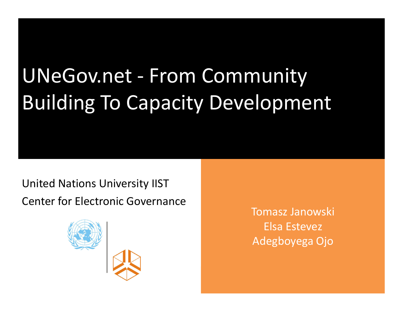# UNeGov.net - From Community Building To Capacity Development

United Nations University IISTCenter for Electronic Governance



Tomasz JanowskiElsa EstevezAdegboyega Ojo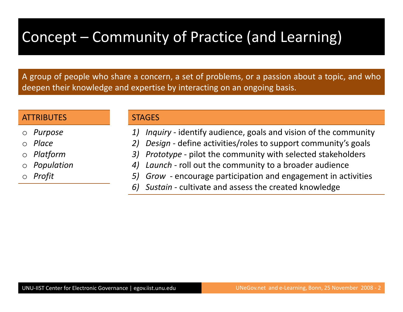# Concept – Community of Practice (and Learning)

<sup>A</sup> group of people who share <sup>a</sup> concern, <sup>a</sup> set of problems, or <sup>a</sup> passion about <sup>a</sup> topic, and whodeepen their knowledge and expertise by interacting on an ongoing basis.

#### **ATTRIBUTES**

- oPurpose
- $\bigcap$ Place
- oPlatform
- $\circ$  Population o
- $\bigcirc$ Profit

#### **STAGES**

- 1) Inquiry identify audience, goals and vision of the community
- 2) Design define activities/roles to support community's goals
- 3)) Prototype - pilot the community with selected stakeholders
- 4) Launch roll out the community to a broader audience
- 5) Grow encourage participation and engagement in activities
- 6) Sustain cultivate and assess the created knowledge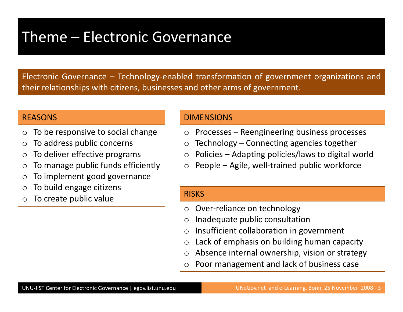#### Theme – Electronic Governance

Electronic Governance – Technology-enabled transformation of government organizations andtheir relationships with citizens, businesses and other arms of government.

#### **REASONS**

- $\bigcirc$ To be responsive to social change
- oTo address public concerns
- oTo deliver effective programs
- $\bigcirc$ To manage public funds efficiently
- oTo implement good governance
- $\bigcirc$ To build engage citizens
- oTo create public value

#### DIMENSIONS

- oProcesses – Reengineering business processes
- oTechnology – Connecting agencies together
- $\Omega$ Policies – Adapting policies/laws to digital world
- $\bigcirc$ People – Agile, well-trained public workforce

#### **RISKS**

- $\bigcirc$ Over-reliance on technology
- oInadequate public consultation
- $\bigcirc$ Insufficient collaboration in government
- $\bigcirc$ Lack of emphasis on building human capacity
- oAbsence internal ownership, vision or strategy
- oPoor management and lack of business case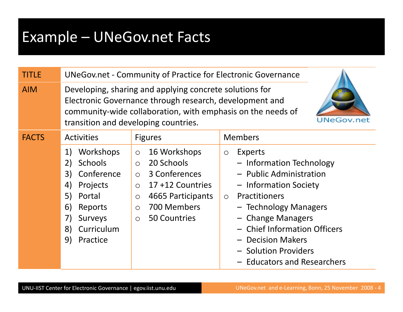# Example – UNeGov.net Facts

| <b>TITLE</b> |                                                                                                                                                                                                                                                | <b>UNeGov.net - Community of Practice for Electronic Governance</b>                                                                                                                             |                                                                                                                                                                                                                                                                                                         |
|--------------|------------------------------------------------------------------------------------------------------------------------------------------------------------------------------------------------------------------------------------------------|-------------------------------------------------------------------------------------------------------------------------------------------------------------------------------------------------|---------------------------------------------------------------------------------------------------------------------------------------------------------------------------------------------------------------------------------------------------------------------------------------------------------|
| <b>AIM</b>   | Developing, sharing and applying concrete solutions for<br>Electronic Governance through research, development and<br>community-wide collaboration, with emphasis on the needs of<br><b>UNeGov.net</b><br>transition and developing countries. |                                                                                                                                                                                                 |                                                                                                                                                                                                                                                                                                         |
| <b>FACTS</b> | <b>Activities</b>                                                                                                                                                                                                                              | <b>Figures</b>                                                                                                                                                                                  | <b>Members</b>                                                                                                                                                                                                                                                                                          |
|              | Workshops<br>1)<br><b>Schools</b><br>2)<br>Conference<br>3)<br>4)<br>Projects<br>5)<br>Portal<br>6)<br>Reports<br>7)<br><b>Surveys</b><br>Curriculum<br>8)<br>9)<br>Practice                                                                   | 16 Workshops<br>$\circ$<br>20 Schools<br>$\circ$<br>3 Conferences<br>$\circ$<br>17+12 Countries<br>$\circ$<br>4665 Participants<br>$\circ$<br>700 Members<br>$\circ$<br>50 Countries<br>$\circ$ | Experts<br>$\bigcirc$<br>- Information Technology<br>- Public Administration<br>- Information Society<br><b>Practitioners</b><br>$\circ$<br>- Technology Managers<br>- Change Managers<br>- Chief Information Officers<br>- Decision Makers<br>- Solution Providers<br><b>Educators and Researchers</b> |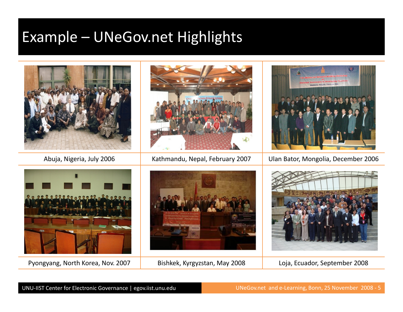### Example – UNeGov.net Highlights



Pyongyang, North Korea, Nov. 2007 | Bishkek, Kyrgyzstan, May 2008 | Loja, Ecuador, September 2008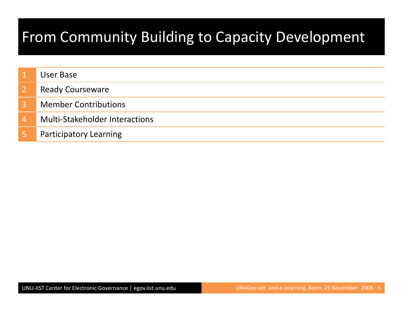# From Community Building to Capacity Development

|          | User Base                             |
|----------|---------------------------------------|
|          | <b>Ready Courseware</b>               |
| 3        | <b>Member Contributions</b>           |
| <b>4</b> | <b>Multi-Stakeholder Interactions</b> |
|          | <b>Participatory Learning</b>         |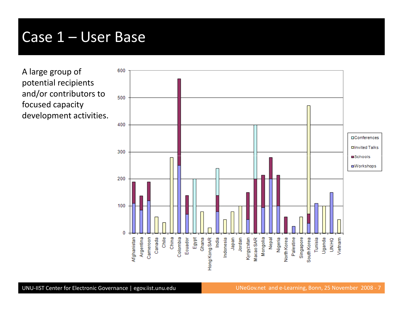#### Case 1 – User Base

A large group of potential recipients and/or contributors to focused capacity development activities.

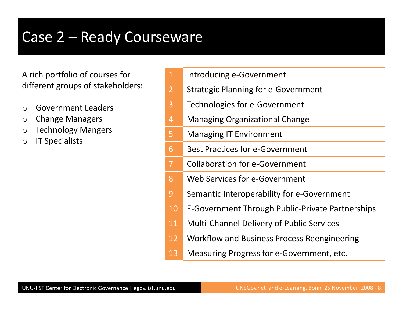### Case 2 – Ready Courseware

A rich portfolio of courses for different groups of stakeholders:

- oGovernment Leaders
- oChange Managers
- $\bigcirc$ Technology Mangers
- oIT Specialists

|  | Introducing e-Government |
|--|--------------------------|
|--|--------------------------|

- 2Strategic Planning for e-Government
- 3Technologies for e-Government
- 4Managing Organizational Change
- 5Managing IT Environment
- 6Best Practices for e-Government
- 7Collaboration for e-Government
- 8Web Services for e-Government
- 9Semantic Interoperability for e-Government
- 10E-Government Through Public-Private Partnerships
- 11Multi-Channel Delivery of Public Services
- 12Workflow and Business Process Reengineering
- 13Measuring Progress for e-Government, etc.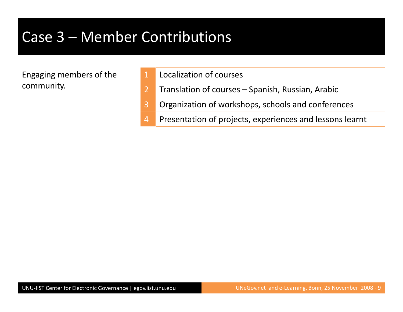### Case 3 – Member Contributions

Engaging members of the community.

- Localization of courses
- 2Translation of courses – Spanish, Russian, Arabic
- 3Organization of workshops, schools and conferences
- 4Presentation of projects, experiences and lessons learnt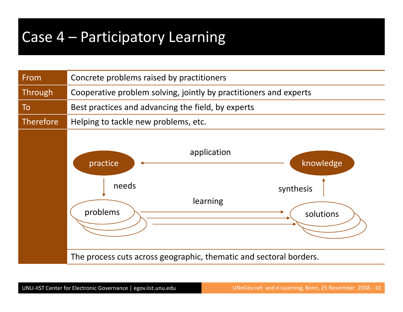### Case 4 – Participatory Learning

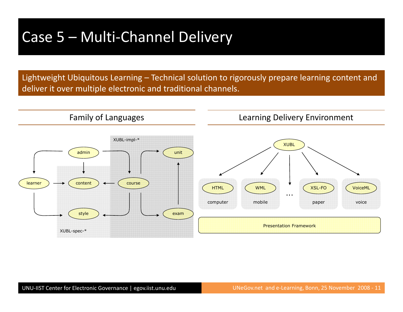### Case 5 – Multi-Channel Delivery

Lightweight Ubiquitous Learning – Technical solution to rigorously prepare learning content and deliver it over multiple electronic and traditional channels.